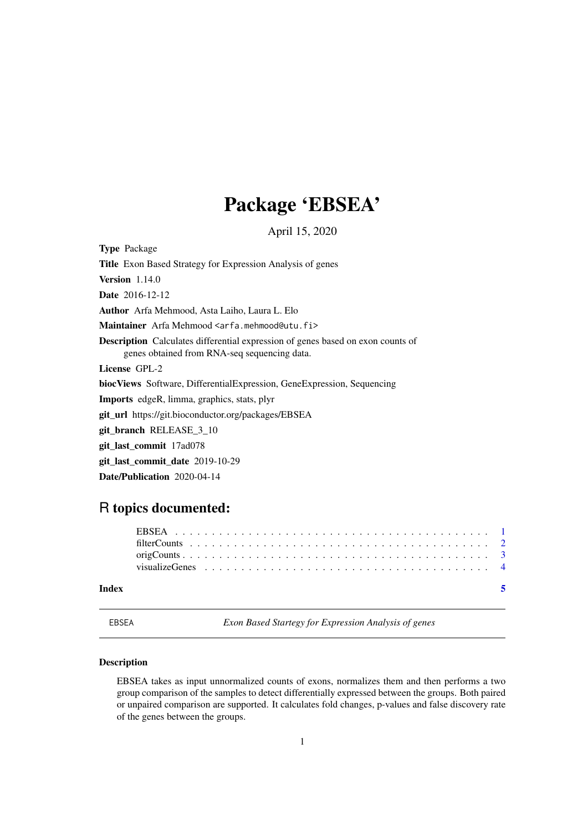## Package 'EBSEA'

April 15, 2020

<span id="page-0-0"></span>Type Package

Title Exon Based Strategy for Expression Analysis of genes

**Version** 1.14.0

Date 2016-12-12

Author Arfa Mehmood, Asta Laiho, Laura L. Elo

Maintainer Arfa Mehmood <arfa.mehmood@utu.fi>

Description Calculates differential expression of genes based on exon counts of genes obtained from RNA-seq sequencing data.

License GPL-2

biocViews Software, DifferentialExpression, GeneExpression, Sequencing

Imports edgeR, limma, graphics, stats, plyr

git\_url https://git.bioconductor.org/packages/EBSEA

git\_branch RELEASE\_3\_10

git\_last\_commit 17ad078

git\_last\_commit\_date 2019-10-29

Date/Publication 2020-04-14

### R topics documented:

| Index |  |  |  |  |  |  |  |  |  |  |  |  |  |  |  |  |  |  |
|-------|--|--|--|--|--|--|--|--|--|--|--|--|--|--|--|--|--|--|
|       |  |  |  |  |  |  |  |  |  |  |  |  |  |  |  |  |  |  |
|       |  |  |  |  |  |  |  |  |  |  |  |  |  |  |  |  |  |  |
|       |  |  |  |  |  |  |  |  |  |  |  |  |  |  |  |  |  |  |
|       |  |  |  |  |  |  |  |  |  |  |  |  |  |  |  |  |  |  |

<span id="page-0-1"></span>

EBSEA *Exon Based Startegy for Expression Analysis of genes*

#### Description

EBSEA takes as input unnormalized counts of exons, normalizes them and then performs a two group comparison of the samples to detect differentially expressed between the groups. Both paired or unpaired comparison are supported. It calculates fold changes, p-values and false discovery rate of the genes between the groups.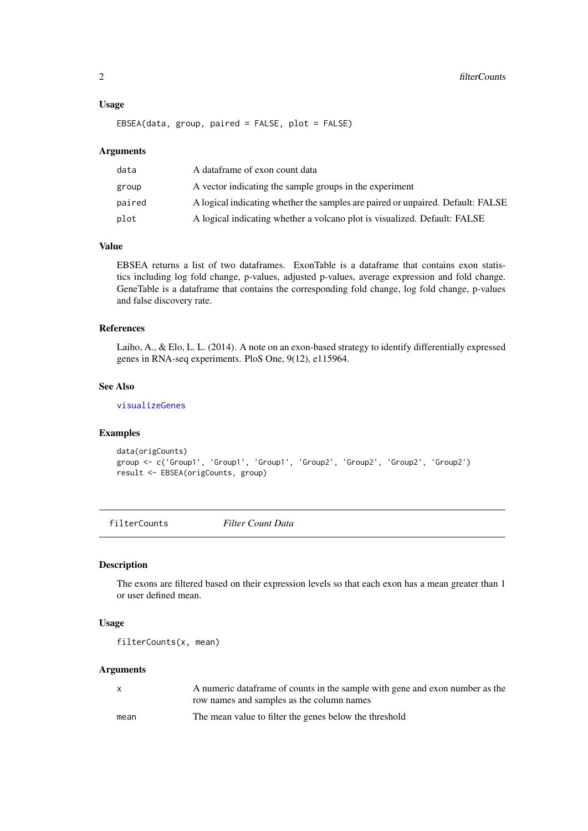#### <span id="page-1-0"></span>Usage

```
EBSEA(data, group, paired = FALSE, plot = FALSE)
```
#### Arguments

| data   | A dataframe of exon count data                                                  |
|--------|---------------------------------------------------------------------------------|
| group  | A vector indicating the sample groups in the experiment                         |
| paired | A logical indicating whether the samples are paired or unpaired. Default: FALSE |
| plot   | A logical indicating whether a volcano plot is visualized. Default: FALSE       |
|        |                                                                                 |

#### Value

EBSEA returns a list of two dataframes. ExonTable is a dataframe that contains exon statistics including log fold change, p-values, adjusted p-values, average expression and fold change. GeneTable is a dataframe that contains the corresponding fold change, log fold change, p-values and false discovery rate.

#### References

Laiho, A., & Elo, L. L. (2014). A note on an exon-based strategy to identify differentially expressed genes in RNA-seq experiments. PloS One, 9(12), e115964.

#### See Also

[visualizeGenes](#page-3-1)

#### Examples

```
data(origCounts)
group <- c('Group1', 'Group1', 'Group1', 'Group2', 'Group2', 'Group2', 'Group2')
result <- EBSEA(origCounts, group)
```
filterCounts *Filter Count Data*

#### Description

The exons are filtered based on their expression levels so that each exon has a mean greater than 1 or user defined mean.

#### Usage

```
filterCounts(x, mean)
```
#### Arguments

| X    | A numeric data frame of counts in the sample with gene and exon number as the |
|------|-------------------------------------------------------------------------------|
|      | row names and samples as the column names                                     |
| mean | The mean value to filter the genes below the threshold                        |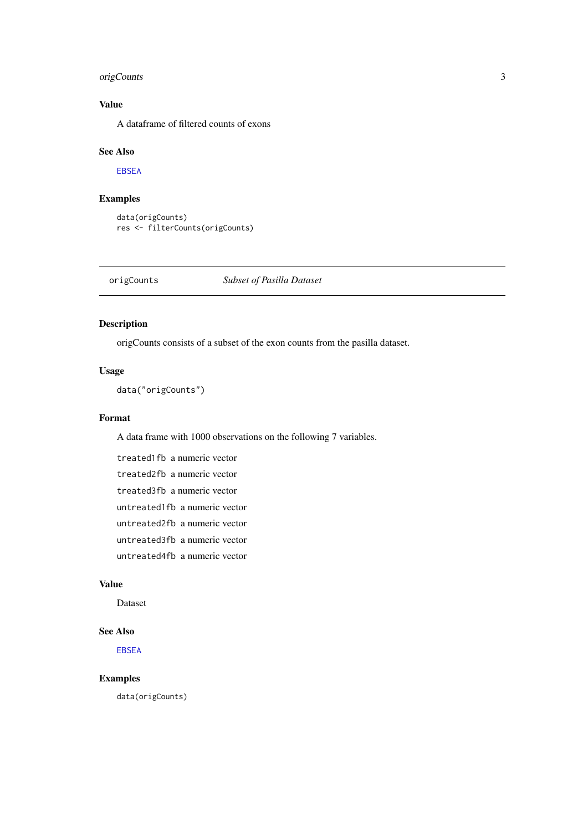#### <span id="page-2-0"></span>origCounts 3

#### Value

A dataframe of filtered counts of exons

#### See Also

[EBSEA](#page-0-1)

#### Examples

```
data(origCounts)
res <- filterCounts(origCounts)
```
#### origCounts *Subset of Pasilla Dataset*

#### Description

origCounts consists of a subset of the exon counts from the pasilla dataset.

#### Usage

data("origCounts")

#### Format

A data frame with 1000 observations on the following 7 variables.

treated1fb a numeric vector treated2fb a numeric vector treated3fb a numeric vector untreated1fb a numeric vector untreated2fb a numeric vector untreated3fb a numeric vector untreated4fb a numeric vector

#### Value

Dataset

#### See Also

[EBSEA](#page-0-1)

#### Examples

data(origCounts)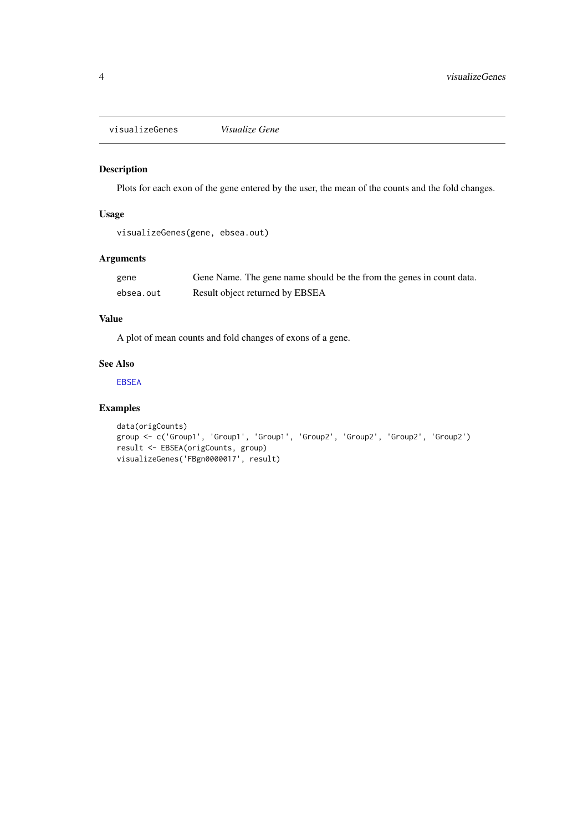<span id="page-3-1"></span><span id="page-3-0"></span>visualizeGenes *Visualize Gene*

#### Description

Plots for each exon of the gene entered by the user, the mean of the counts and the fold changes.

#### Usage

visualizeGenes(gene, ebsea.out)

#### Arguments

| gene      | Gene Name. The gene name should be the from the genes in count data. |
|-----------|----------------------------------------------------------------------|
| ebsea.out | Result object returned by EBSEA                                      |

#### Value

A plot of mean counts and fold changes of exons of a gene.

#### See Also

[EBSEA](#page-0-1)

#### Examples

```
data(origCounts)
group <- c('Group1', 'Group1', 'Group1', 'Group2', 'Group2', 'Group2', 'Group2')
result <- EBSEA(origCounts, group)
visualizeGenes('FBgn0000017', result)
```